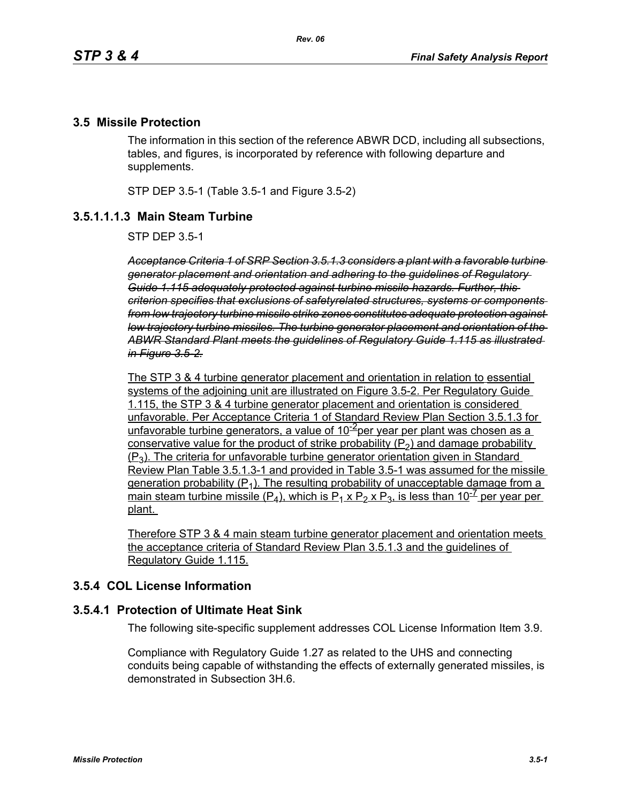## **3.5 Missile Protection**

The information in this section of the reference ABWR DCD, including all subsections, tables, and figures, is incorporated by reference with following departure and supplements.

STP DEP 3.5-1 (Table 3.5-1 and Figure 3.5-2)

# **3.5.1.1.1.3 Main Steam Turbine**

STP DEP 3.5-1

*Acceptance Criteria 1 of SRP Section 3.5.1.3 considers a plant with a favorable turbine generator placement and orientation and adhering to the guidelines of Regulatory Guide 1.115 adequately protected against turbine missile hazards. Further, this criterion specifies that exclusions of safetyrelated structures, systems or components from low trajectory turbine missile strike zones constitutes adequate protection against low trajectory turbine missiles. The turbine generator placement and orientation of the ABWR Standard Plant meets the guidelines of Regulatory Guide 1.115 as illustrated in Figure 3.5-2.*

The STP 3 & 4 turbine generator placement and orientation in relation to essential systems of the adjoining unit are illustrated on Figure 3.5-2. Per Regulatory Guide 1.115, the STP 3 & 4 turbine generator placement and orientation is considered unfavorable. Per Acceptance Criteria 1 of Standard Review Plan Section 3.5.1.3 for unfavorable turbine generators, a value of  $10^{-2}$ per year per plant was chosen as a conservative value for the product of strike probability  $(P_2)$  and damage probability  $(P_3)$ . The criteria for unfavorable turbine generator orientation given in Standard Review Plan Table 3.5.1.3-1 and provided in Table 3.5-1 was assumed for the missile generation probability  $(P_1)$ . The resulting probability of unacceptable damage from a main steam turbine missile (P<sub>4</sub>), which is P<sub>1</sub> x P<sub>2</sub> x P<sub>3</sub>, is less than 10<sup>-7</sup> per year per plant.

Therefore STP 3 & 4 main steam turbine generator placement and orientation meets the acceptance criteria of Standard Review Plan 3.5.1.3 and the guidelines of Regulatory Guide 1.115.

# **3.5.4 COL License Information**

# **3.5.4.1 Protection of Ultimate Heat Sink**

The following site-specific supplement addresses COL License Information Item 3.9.

Compliance with Regulatory Guide 1.27 as related to the UHS and connecting conduits being capable of withstanding the effects of externally generated missiles, is demonstrated in Subsection 3H.6.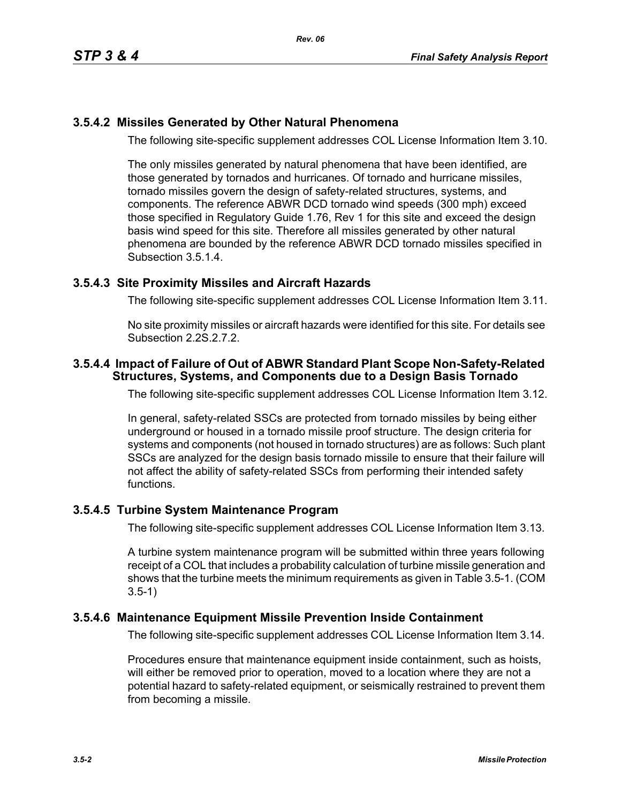# **3.5.4.2 Missiles Generated by Other Natural Phenomena**

The following site-specific supplement addresses COL License Information Item 3.10.

The only missiles generated by natural phenomena that have been identified, are those generated by tornados and hurricanes. Of tornado and hurricane missiles, tornado missiles govern the design of safety-related structures, systems, and components. The reference ABWR DCD tornado wind speeds (300 mph) exceed those specified in Regulatory Guide 1.76, Rev 1 for this site and exceed the design basis wind speed for this site. Therefore all missiles generated by other natural phenomena are bounded by the reference ABWR DCD tornado missiles specified in Subsection 3.5.1.4.

## **3.5.4.3 Site Proximity Missiles and Aircraft Hazards**

The following site-specific supplement addresses COL License Information Item 3.11.

No site proximity missiles or aircraft hazards were identified for this site. For details see Subsection 2.2S.2.7.2.

#### **3.5.4.4 Impact of Failure of Out of ABWR Standard Plant Scope Non-Safety-Related Structures, Systems, and Components due to a Design Basis Tornado**

The following site-specific supplement addresses COL License Information Item 3.12.

In general, safety-related SSCs are protected from tornado missiles by being either underground or housed in a tornado missile proof structure. The design criteria for systems and components (not housed in tornado structures) are as follows: Such plant SSCs are analyzed for the design basis tornado missile to ensure that their failure will not affect the ability of safety-related SSCs from performing their intended safety functions.

# **3.5.4.5 Turbine System Maintenance Program**

The following site-specific supplement addresses COL License Information Item 3.13.

A turbine system maintenance program will be submitted within three years following receipt of a COL that includes a probability calculation of turbine missile generation and shows that the turbine meets the minimum requirements as given in Table 3.5-1. (COM 3.5-1)

#### **3.5.4.6 Maintenance Equipment Missile Prevention Inside Containment**

The following site-specific supplement addresses COL License Information Item 3.14.

Procedures ensure that maintenance equipment inside containment, such as hoists, will either be removed prior to operation, moved to a location where they are not a potential hazard to safety-related equipment, or seismically restrained to prevent them from becoming a missile.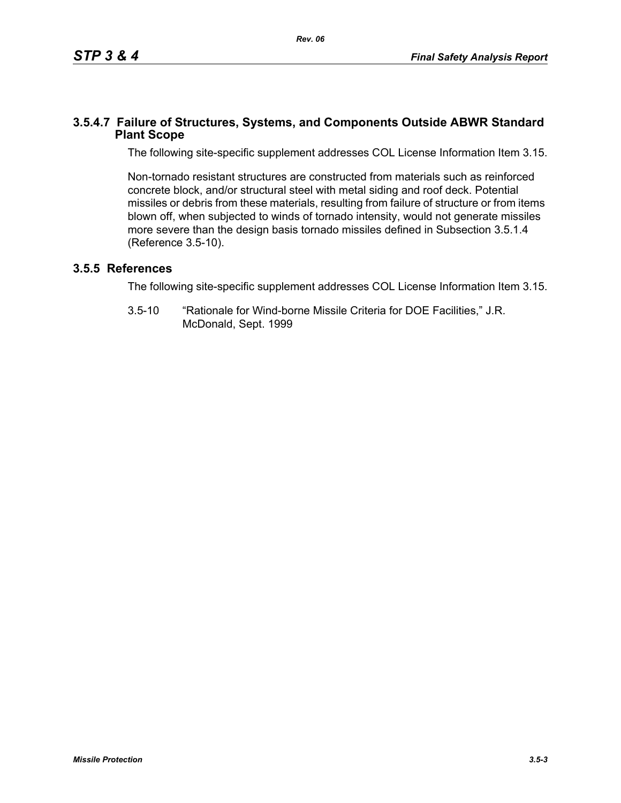#### **3.5.4.7 Failure of Structures, Systems, and Components Outside ABWR Standard Plant Scope**

The following site-specific supplement addresses COL License Information Item 3.15.

Non-tornado resistant structures are constructed from materials such as reinforced concrete block, and/or structural steel with metal siding and roof deck. Potential missiles or debris from these materials, resulting from failure of structure or from items blown off, when subjected to winds of tornado intensity, would not generate missiles more severe than the design basis tornado missiles defined in Subsection 3.5.1.4 (Reference 3.5-10).

# **3.5.5 References**

The following site-specific supplement addresses COL License Information Item 3.15.

3.5-10 "Rationale for Wind-borne Missile Criteria for DOE Facilities," J.R. McDonald, Sept. 1999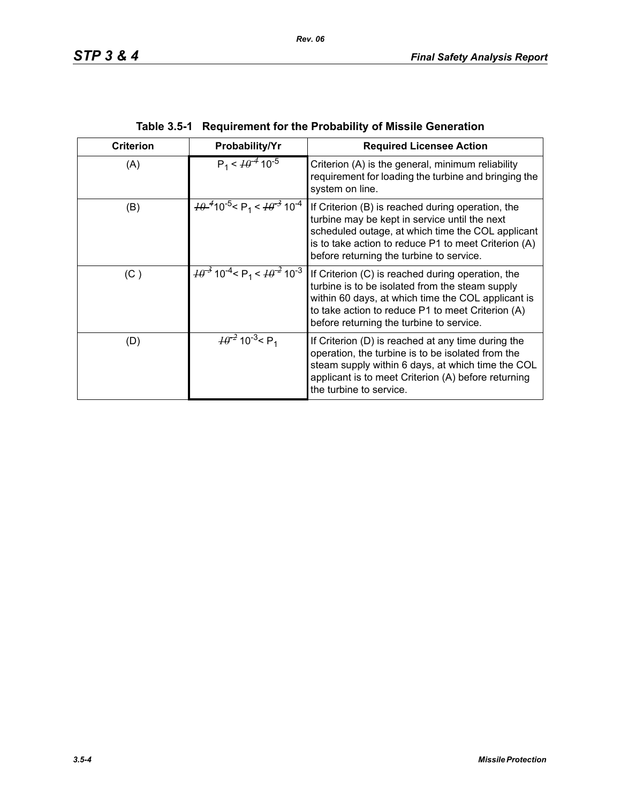| <b>Criterion</b> | Probability/Yr                                                         | <b>Required Licensee Action</b>                                                                                                                                                                                                                             |  |  |
|------------------|------------------------------------------------------------------------|-------------------------------------------------------------------------------------------------------------------------------------------------------------------------------------------------------------------------------------------------------------|--|--|
| (A)              | $P_1 < \frac{1}{9}$ 10 <sup>-5</sup>                                   | Criterion (A) is the general, minimum reliability<br>requirement for loading the turbine and bringing the<br>system on line.                                                                                                                                |  |  |
| (B)              | $\frac{10^{-4}}{10^{-5}}$ < P <sub>1</sub> < $\frac{10^{-3}}{10^{-4}}$ | If Criterion (B) is reached during operation, the<br>turbine may be kept in service until the next<br>scheduled outage, at which time the COL applicant<br>is to take action to reduce P1 to meet Criterion (A)<br>before returning the turbine to service. |  |  |
| (C)              | $\frac{10^{-3}}{10^{-4}}$ < P <sub>1</sub> < $\frac{10^{-2}}{10^{-3}}$ | If Criterion (C) is reached during operation, the<br>turbine is to be isolated from the steam supply<br>within 60 days, at which time the COL applicant is<br>to take action to reduce P1 to meet Criterion (A)<br>before returning the turbine to service. |  |  |
| (D)              | $\frac{10^{-2}}{2}$ 10 <sup>-3</sup> < P <sub>1</sub>                  | If Criterion (D) is reached at any time during the<br>operation, the turbine is to be isolated from the<br>steam supply within 6 days, at which time the COL<br>applicant is to meet Criterion (A) before returning<br>the turbine to service.              |  |  |

| Table 3.5-1 Requirement for the Probability of Missile Generation |  |  |
|-------------------------------------------------------------------|--|--|
|                                                                   |  |  |